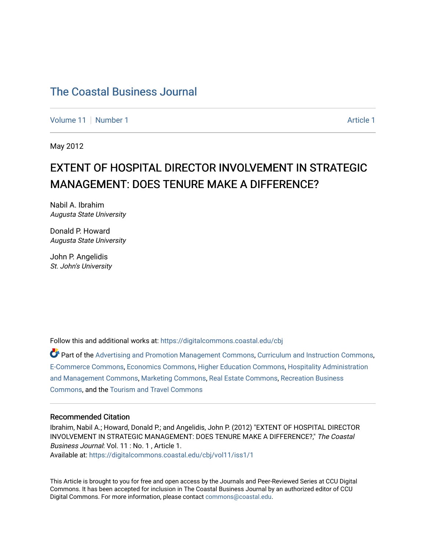[Volume 11](https://digitalcommons.coastal.edu/cbj/vol11) | [Number 1](https://digitalcommons.coastal.edu/cbj/vol11/iss1) [Article 1](https://digitalcommons.coastal.edu/cbj/vol11/iss1/1) Article 1 Article 1 Article 1 Article 1 Article 1 Article 1 Article 1

May 2012

### EXTENT OF HOSPITAL DIRECTOR INVOLVEMENT IN STRATEGIC MANAGEMENT: DOES TENURE MAKE A DIFFERENCE?

Nabil A. Ibrahim Augusta State University

Donald P. Howard Augusta State University

John P. Angelidis St. John's University

Follow this and additional works at: [https://digitalcommons.coastal.edu/cbj](https://digitalcommons.coastal.edu/cbj?utm_source=digitalcommons.coastal.edu%2Fcbj%2Fvol11%2Fiss1%2F1&utm_medium=PDF&utm_campaign=PDFCoverPages) 

Part of the [Advertising and Promotion Management Commons,](http://network.bepress.com/hgg/discipline/626?utm_source=digitalcommons.coastal.edu%2Fcbj%2Fvol11%2Fiss1%2F1&utm_medium=PDF&utm_campaign=PDFCoverPages) [Curriculum and Instruction Commons,](http://network.bepress.com/hgg/discipline/786?utm_source=digitalcommons.coastal.edu%2Fcbj%2Fvol11%2Fiss1%2F1&utm_medium=PDF&utm_campaign=PDFCoverPages) [E-Commerce Commons,](http://network.bepress.com/hgg/discipline/624?utm_source=digitalcommons.coastal.edu%2Fcbj%2Fvol11%2Fiss1%2F1&utm_medium=PDF&utm_campaign=PDFCoverPages) [Economics Commons](http://network.bepress.com/hgg/discipline/340?utm_source=digitalcommons.coastal.edu%2Fcbj%2Fvol11%2Fiss1%2F1&utm_medium=PDF&utm_campaign=PDFCoverPages), [Higher Education Commons](http://network.bepress.com/hgg/discipline/1245?utm_source=digitalcommons.coastal.edu%2Fcbj%2Fvol11%2Fiss1%2F1&utm_medium=PDF&utm_campaign=PDFCoverPages), [Hospitality Administration](http://network.bepress.com/hgg/discipline/632?utm_source=digitalcommons.coastal.edu%2Fcbj%2Fvol11%2Fiss1%2F1&utm_medium=PDF&utm_campaign=PDFCoverPages) [and Management Commons,](http://network.bepress.com/hgg/discipline/632?utm_source=digitalcommons.coastal.edu%2Fcbj%2Fvol11%2Fiss1%2F1&utm_medium=PDF&utm_campaign=PDFCoverPages) [Marketing Commons](http://network.bepress.com/hgg/discipline/638?utm_source=digitalcommons.coastal.edu%2Fcbj%2Fvol11%2Fiss1%2F1&utm_medium=PDF&utm_campaign=PDFCoverPages), [Real Estate Commons](http://network.bepress.com/hgg/discipline/641?utm_source=digitalcommons.coastal.edu%2Fcbj%2Fvol11%2Fiss1%2F1&utm_medium=PDF&utm_campaign=PDFCoverPages), [Recreation Business](http://network.bepress.com/hgg/discipline/1083?utm_source=digitalcommons.coastal.edu%2Fcbj%2Fvol11%2Fiss1%2F1&utm_medium=PDF&utm_campaign=PDFCoverPages) [Commons](http://network.bepress.com/hgg/discipline/1083?utm_source=digitalcommons.coastal.edu%2Fcbj%2Fvol11%2Fiss1%2F1&utm_medium=PDF&utm_campaign=PDFCoverPages), and the [Tourism and Travel Commons](http://network.bepress.com/hgg/discipline/1082?utm_source=digitalcommons.coastal.edu%2Fcbj%2Fvol11%2Fiss1%2F1&utm_medium=PDF&utm_campaign=PDFCoverPages)

#### Recommended Citation

Ibrahim, Nabil A.; Howard, Donald P.; and Angelidis, John P. (2012) "EXTENT OF HOSPITAL DIRECTOR INVOLVEMENT IN STRATEGIC MANAGEMENT: DOES TENURE MAKE A DIFFERENCE?," The Coastal Business Journal: Vol. 11 : No. 1 , Article 1. Available at: [https://digitalcommons.coastal.edu/cbj/vol11/iss1/1](https://digitalcommons.coastal.edu/cbj/vol11/iss1/1?utm_source=digitalcommons.coastal.edu%2Fcbj%2Fvol11%2Fiss1%2F1&utm_medium=PDF&utm_campaign=PDFCoverPages) 

This Article is brought to you for free and open access by the Journals and Peer-Reviewed Series at CCU Digital Commons. It has been accepted for inclusion in The Coastal Business Journal by an authorized editor of CCU Digital Commons. For more information, please contact [commons@coastal.edu](mailto:commons@coastal.edu).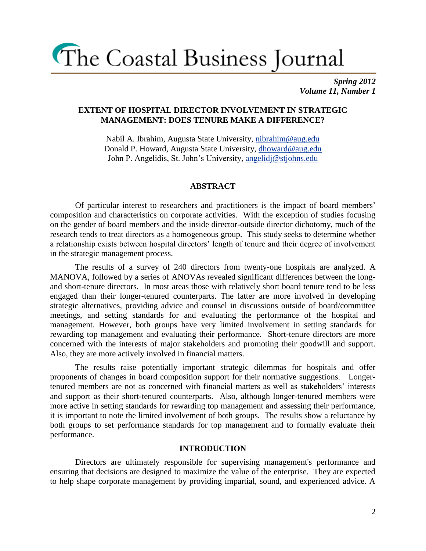*Spring 2012 Volume 11, Number 1*

### **EXTENT OF HOSPITAL DIRECTOR INVOLVEMENT IN STRATEGIC MANAGEMENT: DOES TENURE MAKE A DIFFERENCE?**

Nabil A. Ibrahim, Augusta State University, [nibrahim@aug.edu](mailto:nibrahim@aug.edu) Donald P. Howard, Augusta State University, [dhoward@aug.edu](mailto:dhoward@aug.edu) John P. Angelidis, St. John's University, [angelidj@stjohns.edu](mailto:angelidj@stjohns.edu)

### **ABSTRACT**

Of particular interest to researchers and practitioners is the impact of board members' composition and characteristics on corporate activities. With the exception of studies focusing on the gender of board members and the inside director-outside director dichotomy, much of the research tends to treat directors as a homogeneous group. This study seeks to determine whether a relationship exists between hospital directors' length of tenure and their degree of involvement in the strategic management process.

The results of a survey of 240 directors from twenty-one hospitals are analyzed. A MANOVA, followed by a series of ANOVAs revealed significant differences between the longand short-tenure directors. In most areas those with relatively short board tenure tend to be less engaged than their longer-tenured counterparts. The latter are more involved in developing strategic alternatives, providing advice and counsel in discussions outside of board/committee meetings, and setting standards for and evaluating the performance of the hospital and management. However, both groups have very limited involvement in setting standards for rewarding top management and evaluating their performance. Short-tenure directors are more concerned with the interests of major stakeholders and promoting their goodwill and support. Also, they are more actively involved in financial matters.

The results raise potentially important strategic dilemmas for hospitals and offer proponents of changes in board composition support for their normative suggestions. Longertenured members are not as concerned with financial matters as well as stakeholders' interests and support as their short-tenured counterparts. Also, although longer-tenured members were more active in setting standards for rewarding top management and assessing their performance, it is important to note the limited involvement of both groups. The results show a reluctance by both groups to set performance standards for top management and to formally evaluate their performance.

#### **INTRODUCTION**

Directors are ultimately responsible for supervising management's performance and ensuring that decisions are designed to maximize the value of the enterprise. They are expected to help shape corporate management by providing impartial, sound, and experienced advice. A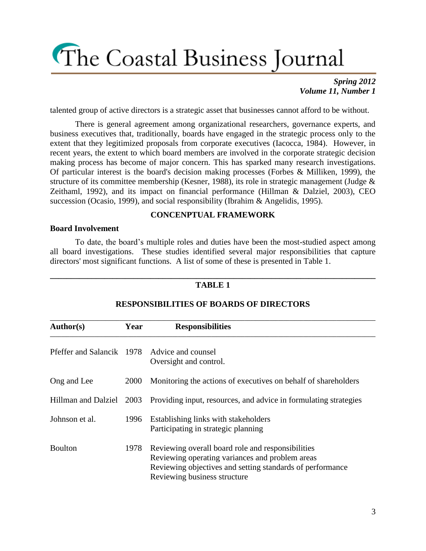### *Spring 2012 Volume 11, Number 1*

talented group of active directors is a strategic asset that businesses cannot afford to be without.

There is general agreement among organizational researchers, governance experts, and business executives that, traditionally, boards have engaged in the strategic process only to the extent that they legitimized proposals from corporate executives (Iacocca, 1984). However, in recent years, the extent to which board members are involved in the corporate strategic decision making process has become of major concern. This has sparked many research investigations. Of particular interest is the board's decision making processes (Forbes & Milliken, 1999), the structure of its committee membership (Kesner, 1988), its role in strategic management (Judge  $\&$ Zeithaml, 1992), and its impact on financial performance (Hillman & Dalziel, 2003), CEO succession (Ocasio, 1999), and social responsibility (Ibrahim & Angelidis, 1995).

### **CONCENPTUAL FRAMEWORK**

#### **Board Involvement**

To date, the board's multiple roles and duties have been the most-studied aspect among all board investigations. These studies identified several major responsibilities that capture directors' most significant functions. A list of some of these is presented in Table 1.

#### **\_\_\_\_\_\_\_\_\_\_\_\_\_\_\_\_\_\_\_\_\_\_\_\_\_\_\_\_\_\_\_\_\_\_\_\_\_\_\_\_\_\_\_\_\_\_\_\_\_\_\_\_\_\_\_\_\_\_\_\_\_\_\_\_\_\_\_\_\_\_\_\_\_\_\_\_\_\_ TABLE 1**

| <b>Author(s)</b>                             | Year | <b>Responsibilities</b>                                                                                                                                                                           |
|----------------------------------------------|------|---------------------------------------------------------------------------------------------------------------------------------------------------------------------------------------------------|
| Pfeffer and Salancik 1978 Advice and counsel |      | Oversight and control.                                                                                                                                                                            |
| Ong and Lee                                  | 2000 | Monitoring the actions of executives on behalf of shareholders                                                                                                                                    |
| Hillman and Dalziel                          | 2003 | Providing input, resources, and advice in formulating strategies                                                                                                                                  |
| Johnson et al.                               | 1996 | Establishing links with stakeholders<br>Participating in strategic planning                                                                                                                       |
| <b>Boulton</b>                               | 1978 | Reviewing overall board role and responsibilities<br>Reviewing operating variances and problem areas<br>Reviewing objectives and setting standards of performance<br>Reviewing business structure |

### **RESPONSIBILITIES OF BOARDS OF DIRECTORS**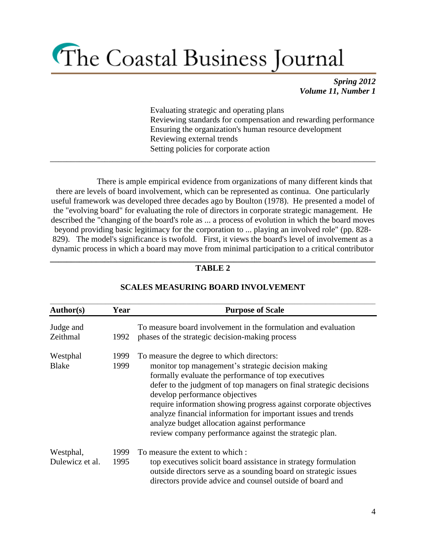*Spring 2012 Volume 11, Number 1*

Evaluating strategic and operating plans Reviewing standards for compensation and rewarding performance Ensuring the organization's human resource development Reviewing external trends Setting policies for corporate action

There is ample empirical evidence from organizations of many different kinds that there are levels of board involvement, which can be represented as continua. One particularly useful framework was developed three decades ago by Boulton (1978). He presented a model of the "evolving board" for evaluating the role of directors in corporate strategic management. He described the "changing of the board's role as ... a process of evolution in which the board moves beyond providing basic legitimacy for the corporation to ... playing an involved role" (pp. 828- 829). The model's significance is twofold. First, it views the board's level of involvement as a dynamic process in which a board may move from minimal participation to a critical contributor

\_\_\_\_\_\_\_\_\_\_\_\_\_\_\_\_\_\_\_\_\_\_\_\_\_\_\_\_\_\_\_\_\_\_\_\_\_\_\_\_\_\_\_\_\_\_\_\_\_\_\_\_\_\_\_\_\_\_\_\_\_\_\_\_\_\_\_\_\_\_\_\_\_\_\_\_\_\_

### **\_\_\_\_\_\_\_\_\_\_\_\_\_\_\_\_\_\_\_\_\_\_\_\_\_\_\_\_\_\_\_\_\_\_\_\_\_\_\_\_\_\_\_\_\_\_\_\_\_\_\_\_\_\_\_\_\_\_\_\_\_\_\_\_\_\_\_\_\_\_\_\_\_\_\_\_\_\_ TABLE 2**

| Author(s)<br><b>Purpose of Scale</b><br>Year |              |                                                                                                                                                                                                                                                                                                                                                                                                                                                                                                                 |  |  |  |
|----------------------------------------------|--------------|-----------------------------------------------------------------------------------------------------------------------------------------------------------------------------------------------------------------------------------------------------------------------------------------------------------------------------------------------------------------------------------------------------------------------------------------------------------------------------------------------------------------|--|--|--|
| Judge and<br>Zeithmal                        | 1992         | To measure board involvement in the formulation and evaluation<br>phases of the strategic decision-making process                                                                                                                                                                                                                                                                                                                                                                                               |  |  |  |
| Westphal<br><b>Blake</b>                     | 1999<br>1999 | To measure the degree to which directors:<br>monitor top management's strategic decision making<br>formally evaluate the performance of top executives<br>defer to the judgment of top managers on final strategic decisions<br>develop performance objectives<br>require information showing progress against corporate objectives<br>analyze financial information for important issues and trends<br>analyze budget allocation against performance<br>review company performance against the strategic plan. |  |  |  |
| Westphal,<br>Dulewicz et al.                 | 1999<br>1995 | To measure the extent to which:<br>top executives solicit board assistance in strategy formulation<br>outside directors serve as a sounding board on strategic issues<br>directors provide advice and counsel outside of board and                                                                                                                                                                                                                                                                              |  |  |  |

### **SCALES MEASURING BOARD INVOLVEMENT**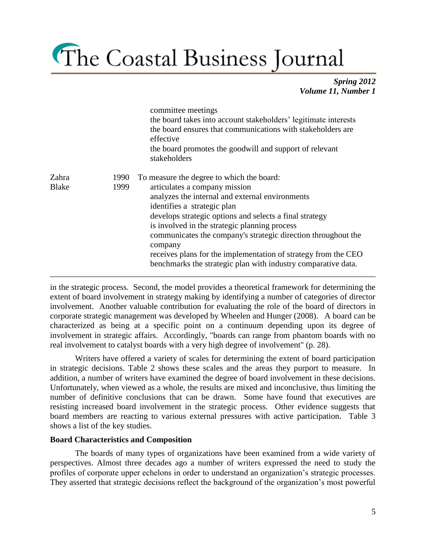*Spring 2012 Volume 11, Number 1*

|                       |              | committee meetings<br>the board takes into account stakeholders' legitimate interests<br>the board ensures that communications with stakeholders are<br>effective<br>the board promotes the goodwill and support of relevant<br>stakeholders                                                                                                                                                                                                                                            |
|-----------------------|--------------|-----------------------------------------------------------------------------------------------------------------------------------------------------------------------------------------------------------------------------------------------------------------------------------------------------------------------------------------------------------------------------------------------------------------------------------------------------------------------------------------|
| Zahra<br><b>Blake</b> | 1990<br>1999 | To measure the degree to which the board:<br>articulates a company mission<br>analyzes the internal and external environments<br>identifies a strategic plan<br>develops strategic options and selects a final strategy<br>is involved in the strategic planning process<br>communicates the company's strategic direction throughout the<br>company<br>receives plans for the implementation of strategy from the CEO<br>benchmarks the strategic plan with industry comparative data. |

in the strategic process. Second, the model provides a theoretical framework for determining the extent of board involvement in strategy making by identifying a number of categories of director involvement. Another valuable contribution for evaluating the role of the board of directors in corporate strategic management was developed by Wheelen and Hunger (2008). A board can be characterized as being at a specific point on a continuum depending upon its degree of involvement in strategic affairs. Accordingly, "boards can range from phantom boards with no real involvement to catalyst boards with a very high degree of involvement" (p. 28).

Writers have offered a variety of scales for determining the extent of board participation in strategic decisions. Table 2 shows these scales and the areas they purport to measure. In addition, a number of writers have examined the degree of board involvement in these decisions. Unfortunately, when viewed as a whole, the results are mixed and inconclusive, thus limiting the number of definitive conclusions that can be drawn. Some have found that executives are resisting increased board involvement in the strategic process. Other evidence suggests that board members are reacting to various external pressures with active participation. Table 3 shows a list of the key studies.

### **Board Characteristics and Composition**

The boards of many types of organizations have been examined from a wide variety of perspectives. Almost three decades ago a number of writers expressed the need to study the profiles of corporate upper echelons in order to understand an organization's strategic processes. They asserted that strategic decisions reflect the background of the organization's most powerful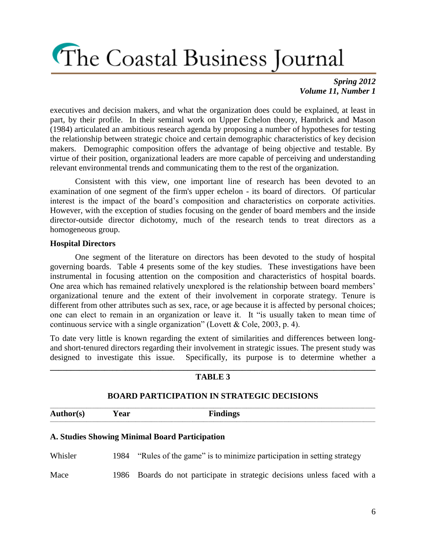*Spring 2012 Volume 11, Number 1*

executives and decision makers, and what the organization does could be explained, at least in part, by their profile. In their seminal work on Upper Echelon theory, Hambrick and Mason (1984) articulated an ambitious research agenda by proposing a number of hypotheses for testing the relationship between strategic choice and certain demographic characteristics of key decision makers. Demographic composition offers the advantage of being objective and testable. By virtue of their position, organizational leaders are more capable of perceiving and understanding relevant environmental trends and communicating them to the rest of the organization.

Consistent with this view, one important line of research has been devoted to an examination of one segment of the firm's upper echelon - its board of directors. Of particular interest is the impact of the board's composition and characteristics on corporate activities. However, with the exception of studies focusing on the gender of board members and the inside director-outside director dichotomy, much of the research tends to treat directors as a homogeneous group.

### **Hospital Directors**

One segment of the literature on directors has been devoted to the study of hospital governing boards. Table 4 presents some of the key studies. These investigations have been instrumental in focusing attention on the composition and characteristics of hospital boards. One area which has remained relatively unexplored is the relationship between board members' organizational tenure and the extent of their involvement in corporate strategy. Tenure is different from other attributes such as sex, race, or age because it is affected by personal choices; one can elect to remain in an organization or leave it. It "is usually taken to mean time of continuous service with a single organization" (Lovett & Cole, 2003, p. 4).

To date very little is known regarding the extent of similarities and differences between longand short-tenured directors regarding their involvement in strategic issues. The present study was designed to investigate this issue. Specifically, its purpose is to determine whether a

| <b>TABLE 3</b>                                    |      |                                                                      |  |  |  |  |  |  |
|---------------------------------------------------|------|----------------------------------------------------------------------|--|--|--|--|--|--|
| <b>BOARD PARTICIPATION IN STRATEGIC DECISIONS</b> |      |                                                                      |  |  |  |  |  |  |
| <b>Author(s)</b>                                  | Year | <b>Findings</b>                                                      |  |  |  |  |  |  |
|                                                   |      | A. Studies Showing Minimal Board Participation                       |  |  |  |  |  |  |
| Whisler                                           | 1984 | "Rules of the game" is to minimize participation in setting strategy |  |  |  |  |  |  |
| Mace                                              | 1986 | Boards do not participate in strategic decisions unless faced with a |  |  |  |  |  |  |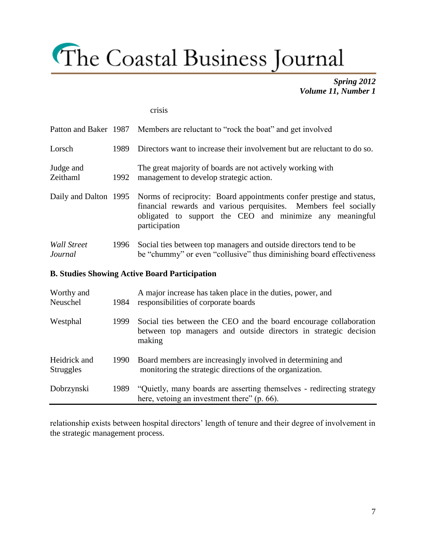*Spring 2012 Volume 11, Number 1*

#### crisis

|                               |       | Patton and Baker 1987 Members are reluctant to "rock the boat" and get involved                                                                                                                                                             |  |  |  |  |
|-------------------------------|-------|---------------------------------------------------------------------------------------------------------------------------------------------------------------------------------------------------------------------------------------------|--|--|--|--|
| Lorsch                        | 1989. | Directors want to increase their involvement but are reluctant to do so.                                                                                                                                                                    |  |  |  |  |
| Judge and<br>Zeithaml         | 1992  | The great majority of boards are not actively working with<br>management to develop strategic action.                                                                                                                                       |  |  |  |  |
|                               |       | Daily and Dalton 1995 Norms of reciprocity: Board appointments confer prestige and status,<br>financial rewards and various perquisites. Members feel socially<br>obligated to support the CEO and minimize any meaningful<br>participation |  |  |  |  |
| <b>Wall Street</b><br>Journal | 1996  | Social ties between top managers and outside directors tend to be<br>be "chummy" or even "collusive" thus diminishing board effectiveness                                                                                                   |  |  |  |  |
|                               |       |                                                                                                                                                                                                                                             |  |  |  |  |

### **B. Studies Showing Active Board Participation**

| Worthy and<br>Neuschel           | 1984 | A major increase has taken place in the duties, power, and<br>responsibilities of corporate boards                                              |  |  |  |
|----------------------------------|------|-------------------------------------------------------------------------------------------------------------------------------------------------|--|--|--|
| Westphal                         | 1999 | Social ties between the CEO and the board encourage collaboration<br>between top managers and outside directors in strategic decision<br>making |  |  |  |
| Heidrick and<br><b>Struggles</b> | 1990 | Board members are increasingly involved in determining and<br>monitoring the strategic directions of the organization.                          |  |  |  |
| Dobrzynski                       | 1989 | "Quietly, many boards are asserting themselves - redirecting strategy<br>here, vetoing an investment there" (p. 66).                            |  |  |  |

relationship exists between hospital directors' length of tenure and their degree of involvement in the strategic management process.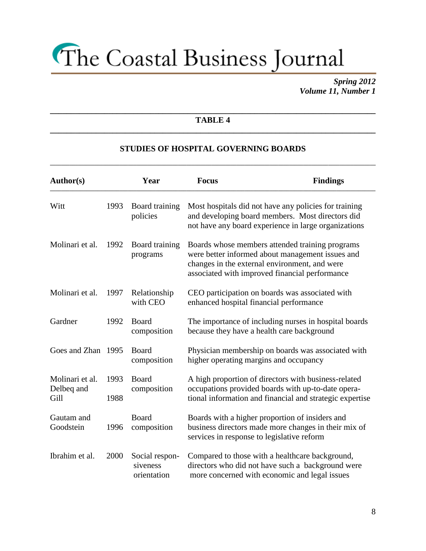*Spring 2012 Volume 11, Number 1*

### **\_\_\_\_\_\_\_\_\_\_\_\_\_\_\_\_\_\_\_\_\_\_\_\_\_\_\_\_\_\_\_\_\_\_\_\_\_\_\_\_\_\_\_\_\_\_\_\_\_\_\_\_\_\_\_\_\_\_\_\_\_\_\_\_\_\_\_\_\_\_\_\_\_\_\_\_\_\_ TABLE 4 \_\_\_\_\_\_\_\_\_\_\_\_\_\_\_\_\_\_\_\_\_\_\_\_\_\_\_\_\_\_\_\_\_\_\_\_\_\_\_\_\_\_\_\_\_\_\_\_\_\_\_\_\_\_\_\_\_\_\_\_\_\_\_\_\_\_\_\_\_\_\_\_\_\_\_\_\_\_**

### **STUDIES OF HOSPITAL GOVERNING BOARDS**

**\_\_\_\_\_\_\_\_\_\_\_\_\_\_\_\_\_\_\_\_\_\_\_\_\_\_\_\_\_\_\_\_\_\_\_\_\_\_\_\_\_\_\_\_\_\_\_\_\_\_\_\_\_\_\_\_\_\_\_\_\_\_\_\_\_\_\_\_\_\_\_\_\_\_\_\_\_\_\_\_\_\_\_\_\_\_\_\_\_\_\_\_\_\_\_\_\_\_\_\_\_\_\_\_\_\_\_\_\_\_\_\_\_\_\_\_\_**

| <b>Author(s)</b>                      |              |                                           | <b>Focus</b> | <b>Findings</b>                                                                                                                                                                                        |
|---------------------------------------|--------------|-------------------------------------------|--------------|--------------------------------------------------------------------------------------------------------------------------------------------------------------------------------------------------------|
| Witt                                  | 1993         | Board training<br>policies                |              | Most hospitals did not have any policies for training<br>and developing board members. Most directors did<br>not have any board experience in large organizations                                      |
| Molinari et al.                       | 1992         | Board training<br>programs                |              | Boards whose members attended training programs<br>were better informed about management issues and<br>changes in the external environment, and were<br>associated with improved financial performance |
| Molinari et al.                       | 1997         | Relationship<br>with CEO                  |              | CEO participation on boards was associated with<br>enhanced hospital financial performance                                                                                                             |
| Gardner                               | 1992         | Board<br>composition                      |              | The importance of including nurses in hospital boards<br>because they have a health care background                                                                                                    |
| Goes and Zhan 1995                    |              | Board<br>composition                      |              | Physician membership on boards was associated with<br>higher operating margins and occupancy                                                                                                           |
| Molinari et al.<br>Delbeq and<br>Gill | 1993<br>1988 | Board<br>composition                      |              | A high proportion of directors with business-related<br>occupations provided boards with up-to-date opera-<br>tional information and financial and strategic expertise                                 |
| Gautam and<br>Goodstein               | 1996         | Board<br>composition                      |              | Boards with a higher proportion of insiders and<br>business directors made more changes in their mix of<br>services in response to legislative reform                                                  |
| Ibrahim et al.                        | 2000         | Social respon-<br>siveness<br>orientation |              | Compared to those with a healthcare background,<br>directors who did not have such a background were<br>more concerned with economic and legal issues                                                  |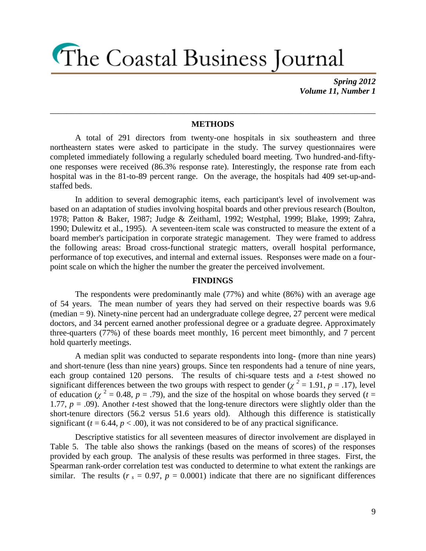*Spring 2012 Volume 11, Number 1*

#### **METHODS**

\_\_\_\_\_\_\_\_\_\_\_\_\_\_\_\_\_\_\_\_\_\_\_\_\_\_\_\_\_\_\_\_\_\_\_\_\_\_\_\_\_\_\_\_\_\_\_\_\_\_\_\_\_\_\_\_\_\_\_\_\_\_\_\_\_\_\_\_\_\_\_\_\_\_\_\_\_\_

A total of 291 directors from twenty-one hospitals in six southeastern and three northeastern states were asked to participate in the study. The survey questionnaires were completed immediately following a regularly scheduled board meeting. Two hundred-and-fiftyone responses were received (86.3% response rate). Interestingly, the response rate from each hospital was in the 81-to-89 percent range. On the average, the hospitals had 409 set-up-andstaffed beds.

In addition to several demographic items, each participant's level of involvement was based on an adaptation of studies involving hospital boards and other previous research (Boulton, 1978; Patton & Baker, 1987; Judge & Zeithaml, 1992; Westphal, 1999; Blake, 1999; Zahra, 1990; Dulewitz et al., 1995). A seventeen-item scale was constructed to measure the extent of a board member's participation in corporate strategic management. They were framed to address the following areas: Broad cross-functional strategic matters, overall hospital performance, performance of top executives, and internal and external issues. Responses were made on a fourpoint scale on which the higher the number the greater the perceived involvement.

#### **FINDINGS**

The respondents were predominantly male (77%) and white (86%) with an average age of 54 years. The mean number of years they had served on their respective boards was 9.6 (median = 9). Ninety-nine percent had an undergraduate college degree, 27 percent were medical doctors, and 34 percent earned another professional degree or a graduate degree. Approximately three-quarters (77%) of these boards meet monthly, 16 percent meet bimonthly, and 7 percent hold quarterly meetings.

A median split was conducted to separate respondents into long- (more than nine years) and short-tenure (less than nine years) groups. Since ten respondents had a tenure of nine years, each group contained 120 persons. The results of chi-square tests and a *t*-test showed no significant differences between the two groups with respect to gender ( $\chi^2 = 1.91$ ,  $p = .17$ ), level of education ( $\chi^2 = 0.48$ ,  $p = .79$ ), and the size of the hospital on whose boards they served ( $t =$ 1.77, *p* = .09). Another *t*-test showed that the long-tenure directors were slightly older than the short-tenure directors (56.2 versus 51.6 years old). Although this difference is statistically significant  $(t = 6.44, p < .00)$ , it was not considered to be of any practical significance.

Descriptive statistics for all seventeen measures of director involvement are displayed in Table 5. The table also shows the rankings (based on the means of scores) of the responses provided by each group. The analysis of these results was performed in three stages. First, the Spearman rank-order correlation test was conducted to determine to what extent the rankings are similar. The results ( $r_s = 0.97$ ,  $p = 0.0001$ ) indicate that there are no significant differences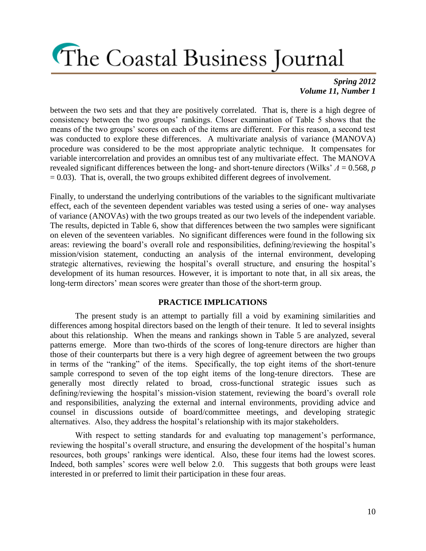### *Spring 2012 Volume 11, Number 1*

between the two sets and that they are positively correlated. That is, there is a high degree of consistency between the two groups' rankings. Closer examination of Table 5 shows that the means of the two groups' scores on each of the items are different. For this reason, a second test was conducted to explore these differences. A multivariate analysis of variance (MANOVA) procedure was considered to be the most appropriate analytic technique. It compensates for variable intercorrelation and provides an omnibus test of any multivariate effect. The MANOVA revealed significant differences between the long- and short-tenure directors (Wilks' *Λ* = 0.568, *p*  $= 0.03$ ). That is, overall, the two groups exhibited different degrees of involvement.

Finally, to understand the underlying contributions of the variables to the significant multivariate effect, each of the seventeen dependent variables was tested using a series of one- way analyses of variance (ANOVAs) with the two groups treated as our two levels of the independent variable. The results, depicted in Table 6, show that differences between the two samples were significant on eleven of the seventeen variables. No significant differences were found in the following six areas: reviewing the board's overall role and responsibilities, defining/reviewing the hospital's mission/vision statement, conducting an analysis of the internal environment, developing strategic alternatives, reviewing the hospital's overall structure, and ensuring the hospital's development of its human resources. However, it is important to note that, in all six areas, the long-term directors' mean scores were greater than those of the short-term group.

### **PRACTICE IMPLICATIONS**

The present study is an attempt to partially fill a void by examining similarities and differences among hospital directors based on the length of their tenure. It led to several insights about this relationship. When the means and rankings shown in Table 5 are analyzed, several patterns emerge. More than two-thirds of the scores of long-tenure directors are higher than those of their counterparts but there is a very high degree of agreement between the two groups in terms of the "ranking" of the items. Specifically, the top eight items of the short-tenure sample correspond to seven of the top eight items of the long-tenure directors. These are generally most directly related to broad, cross-functional strategic issues such as defining/reviewing the hospital's mission-vision statement, reviewing the board's overall role and responsibilities, analyzing the external and internal environments, providing advice and counsel in discussions outside of board/committee meetings, and developing strategic alternatives. Also, they address the hospital's relationship with its major stakeholders.

With respect to setting standards for and evaluating top management's performance, reviewing the hospital's overall structure, and ensuring the development of the hospital's human resources, both groups' rankings were identical. Also, these four items had the lowest scores. Indeed, both samples' scores were well below 2.0. This suggests that both groups were least interested in or preferred to limit their participation in these four areas.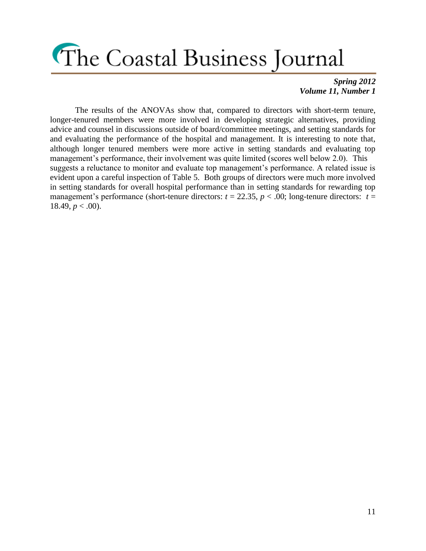### *Spring 2012 Volume 11, Number 1*

The results of the ANOVAs show that, compared to directors with short-term tenure, longer-tenured members were more involved in developing strategic alternatives, providing advice and counsel in discussions outside of board/committee meetings, and setting standards for and evaluating the performance of the hospital and management. It is interesting to note that, although longer tenured members were more active in setting standards and evaluating top management's performance, their involvement was quite limited (scores well below 2.0). This suggests a reluctance to monitor and evaluate top management's performance. A related issue is evident upon a careful inspection of Table 5. Both groups of directors were much more involved in setting standards for overall hospital performance than in setting standards for rewarding top management's performance (short-tenure directors:  $t = 22.35$ ,  $p < .00$ ; long-tenure directors:  $t =$ 18.49,  $p < .00$ ).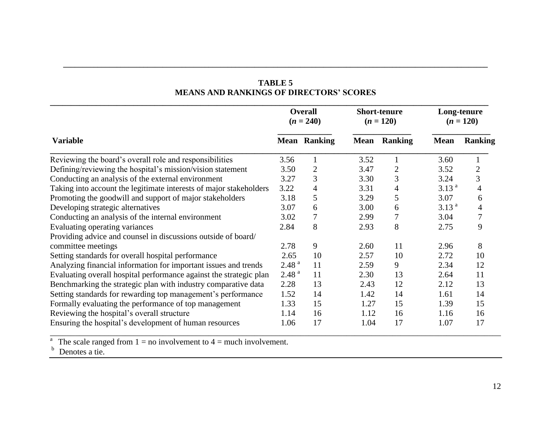| <b>TABLE 5</b>                                 |  |  |  |  |  |  |  |
|------------------------------------------------|--|--|--|--|--|--|--|
| <b>MEANS AND RANKINGS OF DIRECTORS' SCORES</b> |  |  |  |  |  |  |  |

**\_\_\_\_\_\_\_\_\_\_\_\_\_\_\_\_\_\_\_\_\_\_\_\_\_\_\_\_\_\_\_\_\_\_\_\_\_\_\_\_\_\_\_\_\_\_\_\_\_\_\_\_\_\_\_\_\_\_\_\_\_\_\_\_\_\_\_\_\_\_\_\_\_\_\_\_\_\_\_\_\_\_\_\_\_\_\_\_\_\_\_\_\_\_\_\_\_\_\_\_\_\_\_\_\_\_\_\_\_\_\_**

|                                                                    | <b>Overall</b><br>$(n = 240)$ |                     |      | <b>Short-tenure</b><br>$(n = 120)$ | Long-tenure<br>$(n = 120)$ |                |  |
|--------------------------------------------------------------------|-------------------------------|---------------------|------|------------------------------------|----------------------------|----------------|--|
| <b>Variable</b>                                                    |                               | <b>Mean Ranking</b> |      | <b>Mean Ranking</b>                | <b>Mean</b>                | <b>Ranking</b> |  |
| Reviewing the board's overall role and responsibilities            | 3.56                          |                     | 3.52 |                                    | 3.60                       |                |  |
| Defining/reviewing the hospital's mission/vision statement         | 3.50                          | 2                   | 3.47 | $\overline{2}$                     | 3.52                       | $\overline{2}$ |  |
| Conducting an analysis of the external environment                 | 3.27                          | 3                   | 3.30 | 3                                  | 3.24                       | 3              |  |
| Taking into account the legitimate interests of major stakeholders | 3.22                          | 4                   | 3.31 | $\overline{4}$                     | 3.13 <sup>a</sup>          | 4              |  |
| Promoting the goodwill and support of major stakeholders           | 3.18                          | 5                   | 3.29 | 5                                  | 3.07                       | 6              |  |
| Developing strategic alternatives                                  | 3.07                          | 6                   | 3.00 | 6                                  | 3.13 <sup>a</sup>          | 4              |  |
| Conducting an analysis of the internal environment                 | 3.02                          |                     | 2.99 | 7                                  | 3.04                       |                |  |
| Evaluating operating variances                                     | 2.84                          | 8                   | 2.93 | 8                                  | 2.75                       | 9              |  |
| Providing advice and counsel in discussions outside of board/      |                               |                     |      |                                    |                            |                |  |
| committee meetings                                                 | 2.78                          | 9                   | 2.60 | 11                                 | 2.96                       | 8              |  |
| Setting standards for overall hospital performance                 | 2.65                          | 10                  | 2.57 | 10                                 | 2.72                       | 10             |  |
| Analyzing financial information for important issues and trends    | 2.48 <sup>a</sup>             | 11                  | 2.59 | 9                                  | 2.34                       | 12             |  |
| Evaluating overall hospital performance against the strategic plan | 2.48 <sup>a</sup>             | 11                  | 2.30 | 13                                 | 2.64                       | 11             |  |
| Benchmarking the strategic plan with industry comparative data     | 2.28                          | 13                  | 2.43 | 12                                 | 2.12                       | 13             |  |
| Setting standards for rewarding top management's performance       | 1.52                          | 14                  | 1.42 | 14                                 | 1.61                       | 14             |  |
| Formally evaluating the performance of top management              | 1.33                          | 15                  | 1.27 | 15                                 | 1.39                       | 15             |  |
| Reviewing the hospital's overall structure                         | 1.14                          | 16                  | 1.12 | 16                                 | 1.16                       | 16             |  |
| Ensuring the hospital's development of human resources             | 1.06                          | 17                  | 1.04 | 17                                 | 1.07                       | 17             |  |

<sup>a</sup> The scale ranged from  $1 = no$  involvement to  $4 = much$  involvement.

 $<sup>b</sup>$  Denotes a tie.</sup>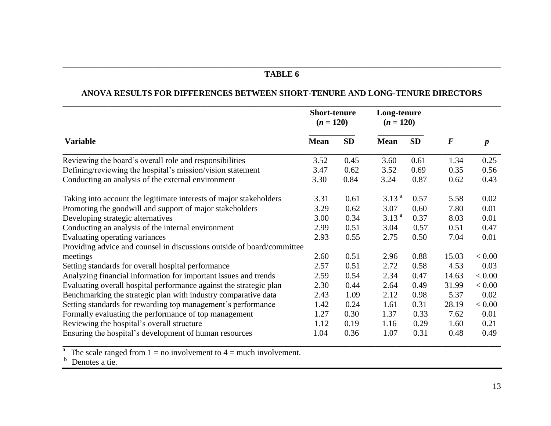### \_\_\_\_\_\_\_\_\_\_\_\_\_\_\_\_\_\_\_\_\_\_\_\_\_\_\_\_\_\_\_\_\_\_\_\_\_\_\_\_\_\_\_\_\_\_\_\_\_\_\_\_\_\_\_\_\_\_\_\_\_\_\_\_\_\_\_\_\_\_\_\_\_\_\_\_\_\_\_\_\_\_\_\_\_\_\_\_\_\_\_\_\_\_\_\_\_\_\_\_\_\_\_\_\_ **TABLE 6**

### **ANOVA RESULTS FOR DIFFERENCES BETWEEN SHORT-TENURE AND LONG-TENURE DIRECTORS**

|                                                                        | <b>Short-tenure</b><br>$(n = 120)$ |           | Long-tenure<br>$(n = 120)$ |           |          |                  |
|------------------------------------------------------------------------|------------------------------------|-----------|----------------------------|-----------|----------|------------------|
| <b>Variable</b>                                                        | <b>Mean</b>                        | <b>SD</b> | <b>Mean</b>                | <b>SD</b> | $\bm{F}$ | $\boldsymbol{p}$ |
| Reviewing the board's overall role and responsibilities                | 3.52                               | 0.45      | 3.60                       | 0.61      | 1.34     | 0.25             |
| Defining/reviewing the hospital's mission/vision statement             | 3.47                               | 0.62      | 3.52                       | 0.69      | 0.35     | 0.56             |
| Conducting an analysis of the external environment                     | 3.30                               | 0.84      | 3.24                       | 0.87      | 0.62     | 0.43             |
| Taking into account the legitimate interests of major stakeholders     | 3.31                               | 0.61      | 3.13 <sup>a</sup>          | 0.57      | 5.58     | 0.02             |
| Promoting the goodwill and support of major stakeholders               | 3.29                               | 0.62      | 3.07                       | 0.60      | 7.80     | 0.01             |
| Developing strategic alternatives                                      | 3.00                               | 0.34      | 3.13 <sup>a</sup>          | 0.37      | 8.03     | 0.01             |
| Conducting an analysis of the internal environment                     | 2.99                               | 0.51      | 3.04                       | 0.57      | 0.51     | 0.47             |
| Evaluating operating variances                                         | 2.93                               | 0.55      | 2.75                       | 0.50      | 7.04     | 0.01             |
| Providing advice and counsel in discussions outside of board/committee |                                    |           |                            |           |          |                  |
| meetings                                                               | 2.60                               | 0.51      | 2.96                       | 0.88      | 15.03    | < 0.00           |
| Setting standards for overall hospital performance                     | 2.57                               | 0.51      | 2.72                       | 0.58      | 4.53     | 0.03             |
| Analyzing financial information for important issues and trends        | 2.59                               | 0.54      | 2.34                       | 0.47      | 14.63    | < 0.00           |
| Evaluating overall hospital performance against the strategic plan     | 2.30                               | 0.44      | 2.64                       | 0.49      | 31.99    | < 0.00           |
| Benchmarking the strategic plan with industry comparative data         | 2.43                               | 1.09      | 2.12                       | 0.98      | 5.37     | 0.02             |
| Setting standards for rewarding top management's performance           | 1.42                               | 0.24      | 1.61                       | 0.31      | 28.19    | < 0.00           |
| Formally evaluating the performance of top management                  | 1.27                               | 0.30      | 1.37                       | 0.33      | 7.62     | 0.01             |
| Reviewing the hospital's overall structure                             | 1.12                               | 0.19      | 1.16                       | 0.29      | 1.60     | 0.21             |
| Ensuring the hospital's development of human resources                 | 1.04                               | 0.36      | 1.07                       | 0.31      | 0.48     | 0.49             |

<sup>a</sup> The scale ranged from  $1 = no$  involvement to  $4 = much$  involvement.

 $<sup>b</sup>$  Denotes a tie.</sup>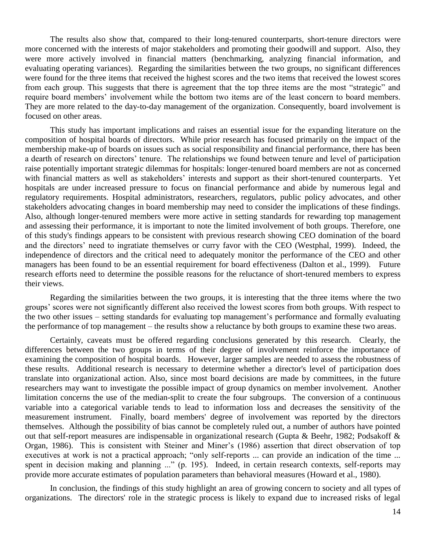The results also show that, compared to their long-tenured counterparts, short-tenure directors were more concerned with the interests of major stakeholders and promoting their goodwill and support. Also, they were more actively involved in financial matters (benchmarking, analyzing financial information, and evaluating operating variances). Regarding the similarities between the two groups, no significant differences were found for the three items that received the highest scores and the two items that received the lowest scores from each group. This suggests that there is agreement that the top three items are the most "strategic" and require board members' involvement while the bottom two items are of the least concern to board members. They are more related to the day-to-day management of the organization. Consequently, board involvement is focused on other areas.

This study has important implications and raises an essential issue for the expanding literature on the composition of hospital boards of directors. While prior research has focused primarily on the impact of the membership make-up of boards on issues such as social responsibility and financial performance, there has been a dearth of research on directors' tenure. The relationships we found between tenure and level of participation raise potentially important strategic dilemmas for hospitals: longer-tenured board members are not as concerned with financial matters as well as stakeholders' interests and support as their short-tenured counterparts. Yet hospitals are under increased pressure to focus on financial performance and abide by numerous legal and regulatory requirements. Hospital administrators, researchers, regulators, public policy advocates, and other stakeholders advocating changes in board membership may need to consider the implications of these findings. Also, although longer-tenured members were more active in setting standards for rewarding top management and assessing their performance, it is important to note the limited involvement of both groups. Therefore, one of this study's findings appears to be consistent with previous research showing CEO domination of the board and the directors' need to ingratiate themselves or curry favor with the CEO (Westphal, 1999). Indeed, the independence of directors and the critical need to adequately monitor the performance of the CEO and other managers has been found to be an essential requirement for board effectiveness (Dalton et al., 1999). Future research efforts need to determine the possible reasons for the reluctance of short-tenured members to express their views.

Regarding the similarities between the two groups, it is interesting that the three items where the two groups' scores were not significantly different also received the lowest scores from both groups. With respect to the two other issues – setting standards for evaluating top management's performance and formally evaluating the performance of top management – the results show a reluctance by both groups to examine these two areas.

Certainly, caveats must be offered regarding conclusions generated by this research. Clearly, the differences between the two groups in terms of their degree of involvement reinforce the importance of examining the composition of hospital boards. However, larger samples are needed to assess the robustness of these results. Additional research is necessary to determine whether a director's level of participation does translate into organizational action. Also, since most board decisions are made by committees, in the future researchers may want to investigate the possible impact of group dynamics on member involvement. Another limitation concerns the use of the median-split to create the four subgroups. The conversion of a continuous variable into a categorical variable tends to lead to information loss and decreases the sensitivity of the measurement instrument. Finally, board members' degree of involvement was reported by the directors themselves. Although the possibility of bias cannot be completely ruled out, a number of authors have pointed out that self-report measures are indispensable in organizational research (Gupta & Beehr, 1982; Podsakoff & Organ, 1986). This is consistent with Steiner and Miner's (1986) assertion that direct observation of top executives at work is not a practical approach; "only self-reports ... can provide an indication of the time ... spent in decision making and planning ..." (p. 195). Indeed, in certain research contexts, self-reports may provide more accurate estimates of population parameters than behavioral measures (Howard et al., 1980).

In conclusion, the findings of this study highlight an area of growing concern to society and all types of organizations. The directors' role in the strategic process is likely to expand due to increased risks of legal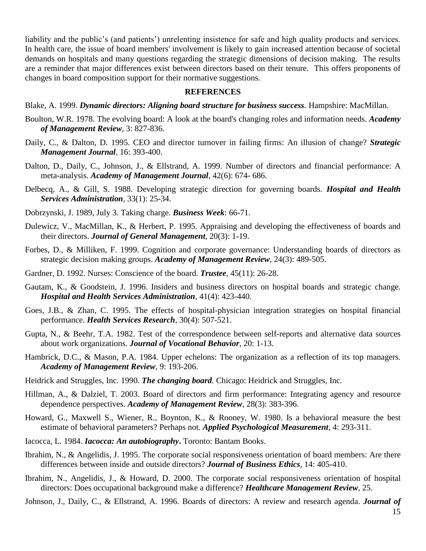liability and the public's (and patients') unrelenting insistence for safe and high quality products and services. In health care, the issue of board members' involvement is likely to gain increased attention because of societal demands on hospitals and many questions regarding the strategic dimensions of decision making. The results are a reminder that major differences exist between directors based on their tenure. This offers proponents of changes in board composition support for their normative suggestions.

### **REFERENCES**

Blake, A. 1999. *Dynamic directors: Aligning board structure for business success.* Hampshire: MacMillan.

- Boulton, W.R. 1978. The evolving board: A look at the board's changing roles and information needs. *Academy of Management Review,* 3: 827-836.
- Daily, C., & Dalton, D. 1995. CEO and director turnover in failing firms: An illusion of change? *Strategic Management Journal,* 16: 393-400.
- Dalton, D., Daily, C., Johnson, J., & Ellstrand, A. 1999. Number of directors and financial performance: A meta-analysis. *Academy of Management Journal*, 42(6): 674- 686.
- Delbecq, A., & Gill, S. 1988. Developing strategic direction for governing boards. *Hospital and Health Services Administration,* 33(1): 25-34.
- Dobrzynski, J. 1989, July 3. Taking charge. *Business Week*: 66-71.
- Dulewicz, V., MacMillan, K., & Herbert, P. 1995. Appraising and developing the effectiveness of boards and their directors. *Journal of General Management*, 20(3): 1-19.
- Forbes, D., & Milliken, F. 1999. Cognition and corporate governance: Understanding boards of directors as strategic decision making groups. *Academy of Management Review*, 24(3): 489-505.
- Gardner, D. 1992. Nurses: Conscience of the board. *Trustee*, 45(11): 26-28.
- Gautam, K., & Goodstein, J. 1996. Insiders and business directors on hospital boards and strategic change. *Hospital and Health Services Administration*, 41(4): 423-440.
- Goes, J.B., & Zhan, C. 1995. The effects of hospital-physician integration strategies on hospital financial performance. *Health Services Research*, 30(4): 507-521.
- Gupta, N., & Beehr, T.A. 1982. Test of the correspondence between self-reports and alternative data sources about work organizations. *Journal of Vocational Behavior*, 20: 1-13.
- Hambrick, D.C., & Mason, P.A. 1984. Upper echelons: The organization as a reflection of its top managers. *Academy of Management Review*, 9: 193-206.
- Heidrick and Struggles, Inc. 1990. *The changing board.* Chicago: Heidrick and Struggles, Inc.
- Hillman, A., & Dalziel, T. 2003. Board of directors and firm performance: Integrating agency and resource dependence perspectives. *Academy of Management Review*, 28(3): 383-396.
- Howard, G., Maxwell S., Wiener, R., Boynton, K., & Rooney, W. 1980. Is a behavioral measure the best estimate of behavioral parameters? Perhaps not. *Applied Psychological Measurement,* 4: 293-311.
- Iacocca, L. 1984. *Iacocca: An autobiography***.** Toronto: Bantam Books.
- Ibrahim, N., & Angelidis, J. 1995. The corporate social responsiveness orientation of board members: Are there differences between inside and outside directors? *Journal of Business Ethics*, 14: 405-410.
- Ibrahim, N., Angelidis, J., & Howard, D. 2000. The corporate social responsiveness orientation of hospital directors: Does occupational background make a difference? *Healthcare Management Review*, 25.

Johnson, J., Daily, C., & Ellstrand, A. 1996. Boards of directors: A review and research agenda. *Journal of*